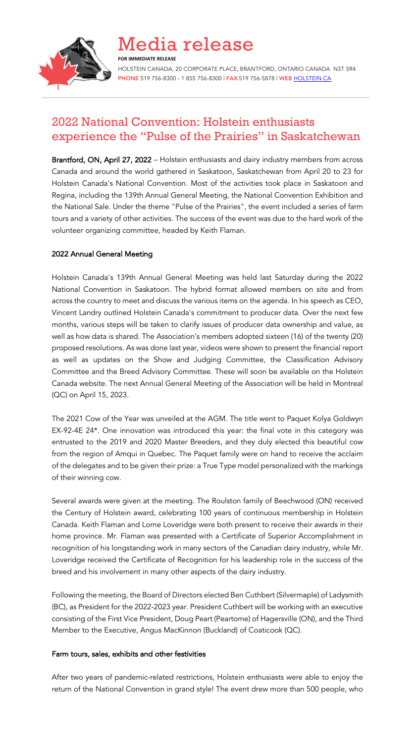

Media release **FOR IMMEDIATE RELEASE** HOLSTEIN CANADA, 20 CORPORATE PLACE, BRANTFORD, ONTARIO CANADA N3T 5R4 PHONE 519 756-8300 - 1 855 756-8300 | FAX 519 756-5878 | WEB HOLSTEIN.CA

# 2022 National Convention: Holstein enthusiasts experience the "Pulse of the Prairies" in Saskatchewan

Brantford, ON, April 27, 2022 – Holstein enthusiasts and dairy industry members from across Canada and around the world gathered in Saskatoon, Saskatchewan from April 20 to 23 for Holstein Canada's National Convention. Most of the activities took place in Saskatoon and Regina, including the 139th Annual General Meeting, the National Convention Exhibition and the National Sale. Under the theme "Pulse of the Prairies", the event included a series of farm tours and a variety of other activities. The success of the event was due to the hard work of the volunteer organizing committee, headed by Keith Flaman.

## 2022 Annual General Meeting

Holstein Canada's 139th Annual General Meeting was held last Saturday during the 2022 National Convention in Saskatoon. The hybrid format allowed members on site and from across the country to meet and discuss the various items on the agenda. In his speech as CEO, Vincent Landry outlined Holstein Canada's commitment to producer data. Over the next few months, various steps will be taken to clarify issues of producer data ownership and value, as well as how data is shared. The Association's members adopted sixteen (16) of the twenty (20) proposed resolutions. As was done last year, videos were shown to present the financial report as well as updates on the Show and Judging Committee, the Classification Advisory Committee and the Breed Advisory Committee. These will soon be available on the Holstein Canada website. The next Annual General Meeting of the Association will be held in Montreal (QC) on April 15, 2023.

The 2021 Cow of the Year was unveiled at the AGM. The title went to Paquet Kolya Goldwyn EX-92-4E 24\*. One innovation was introduced this year: the final vote in this category was entrusted to the 2019 and 2020 Master Breeders, and they duly elected this beautiful cow from the region of Amqui in Quebec. The Paquet family were on hand to receive the acclaim of the delegates and to be given their prize: a True Type model personalized with the markings of their winning cow.

Several awards were given at the meeting. The Roulston family of Beechwood (ON) received the Century of Holstein award, celebrating 100 years of continuous membership in Holstein Canada. Keith Flaman and Lorne Loveridge were both present to receive their awards in their home province. Mr. Flaman was presented with a Certificate of Superior Accomplishment in recognition of his longstanding work in many sectors of the Canadian dairy industry, while Mr. Loveridge received the Certificate of Recognition for his leadership role in the success of the breed and his involvement in many other aspects of the dairy industry.

Following the meeting, the Board of Directors elected Ben Cuthbert (Silvermaple) of Ladysmith (BC), as President for the 2022-2023 year. President Cuthbert will be working with an executive consisting of the First Vice President, Doug Peart (Peartome) of Hagersville (ON), and the Third Member to the Executive, Angus MacKinnon (Buckland) of Coaticook (QC).

### Farm tours, sales, exhibits and other festivities

After two years of pandemic-related restrictions, Holstein enthusiasts were able to enjoy the return of the National Convention in grand style! The event drew more than 500 people, who